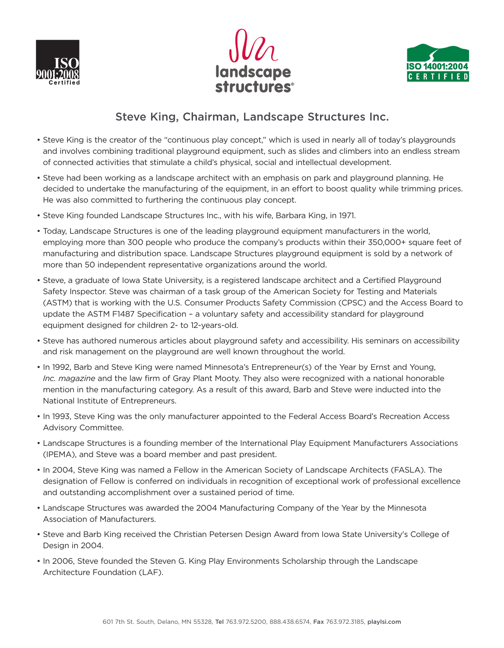





## **Steve King, Chairman, Landscape Structures Inc.**

- Steve King is the creator of the "continuous play concept," which is used in nearly all of today's playgrounds and involves combining traditional playground equipment, such as slides and climbers into an endless stream of connected activities that stimulate a child's physical, social and intellectual development.
- Steve had been working as a landscape architect with an emphasis on park and playground planning. He decided to undertake the manufacturing of the equipment, in an effort to boost quality while trimming prices. He was also committed to furthering the continuous play concept.
- Steve King founded Landscape Structures Inc., with his wife, Barbara King, in 1971.
- Today, Landscape Structures is one of the leading playground equipment manufacturers in the world, employing more than 300 people who produce the company's products within their 350,000+ square feet of manufacturing and distribution space. Landscape Structures playground equipment is sold by a network of more than 50 independent representative organizations around the world.
- Steve, a graduate of Iowa State University, is a registered landscape architect and a Certified Playground Safety Inspector. Steve was chairman of a task group of the American Society for Testing and Materials (ASTM) that is working with the U.S. Consumer Products Safety Commission (CPSC) and the Access Board to update the ASTM F1487 Specification – a voluntary safety and accessibility standard for playground equipment designed for children 2- to 12-years-old.
- Steve has authored numerous articles about playground safety and accessibility. His seminars on accessibility and risk management on the playground are well known throughout the world.
- In 1992, Barb and Steve King were named Minnesota's Entrepreneur(s) of the Year by Ernst and Young, *Inc. magazine* and the law firm of Gray Plant Mooty. They also were recognized with a national honorable mention in the manufacturing category. As a result of this award, Barb and Steve were inducted into the National Institute of Entrepreneurs.
- In 1993, Steve King was the only manufacturer appointed to the Federal Access Board's Recreation Access Advisory Committee.
- Landscape Structures is a founding member of the International Play Equipment Manufacturers Associations (IPEMA), and Steve was a board member and past president.
- In 2004, Steve King was named a Fellow in the American Society of Landscape Architects (FASLA). The designation of Fellow is conferred on individuals in recognition of exceptional work of professional excellence and outstanding accomplishment over a sustained period of time.
- Landscape Structures was awarded the 2004 Manufacturing Company of the Year by the Minnesota Association of Manufacturers.
- Steve and Barb King received the Christian Petersen Design Award from Iowa State University's College of Design in 2004.
- In 2006, Steve founded the Steven G. King Play Environments Scholarship through the Landscape Architecture Foundation (LAF).